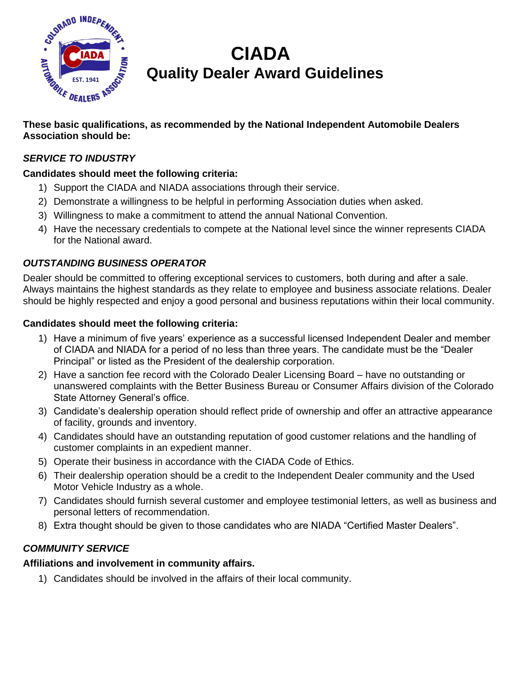

# **CIADA Quality Dealer Award Guidelines**

#### **These basic qualifications, as recommended by the National Independent Automobile Dealers NGAssociation should be:**

# *SERVICE TO INDUSTRY*

# **Candidates should meet the following criteria:**

- 1) Support the CIADA and NIADA associations through their service.
- 2) Demonstrate a willingness to be helpful in performing Association duties when asked.
- 3) Willingness to make a commitment to attend the annual National Convention.
- 4) Have the necessary credentials to compete at the National level since the winner represents CIADA for the National award.

# *OUTSTANDING BUSINESS OPERATOR*

Dealer should be committed to offering exceptional services to customers, both during and after a sale. Always maintains the highest standards as they relate to employee and business associate relations. Dealer should be highly respected and enjoy a good personal and business reputations within their local community.

#### **Candidates should meet the following criteria:**

- 1) Have a minimum of five years' experience as a successful licensed Independent Dealer and member of CIADA and NIADA for a period of no less than three years. The candidate must be the "Dealer Principal" or listed as the President of the dealership corporation.
- 2) Have a sanction fee record with the Colorado Dealer Licensing Board have no outstanding or unanswered complaints with the Better Business Bureau or Consumer Affairs division of the Colorado State Attorney General's office.
- 3) Candidate's dealership operation should reflect pride of ownership and offer an attractive appearance of facility, grounds and inventory.
- 4) Candidates should have an outstanding reputation of good customer relations and the handling of customer complaints in an expedient manner.
- 5) Operate their business in accordance with the CIADA Code of Ethics.
- 6) Their dealership operation should be a credit to the Independent Dealer community and the Used Motor Vehicle Industry as a whole.
- 7) Candidates should furnish several customer and employee testimonial letters, as well as business and personal letters of recommendation.
- 8) Extra thought should be given to those candidates who are NIADA "Certified Master Dealers".

# *COMMUNITY SERVICE*

#### **Affiliations and involvement in community affairs.**

1) Candidates should be involved in the affairs of their local community.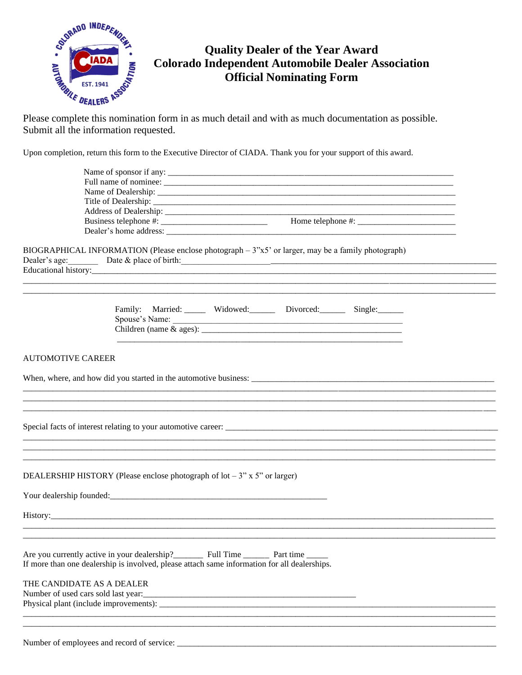

# **Quality Dealer of the Year Award Colorado Independent Automobile Dealer Association Official Nominating Form**

Please complete this nomination form in as much detail and with as much documentation as possible. Submit all the information requested.

Upon completion, return this form to the Executive Director of CIADA. Thank you for your support of this award.

|                           | BIOGRAPHICAL INFORMATION (Please enclose photograph – 3"x5" or larger, may be a family photograph)<br>Dealer's age: Date & place of birth: $\frac{1}{2}$ |  |  |
|---------------------------|----------------------------------------------------------------------------------------------------------------------------------------------------------|--|--|
|                           | Family: Married: _____ Widowed: _____ Divorced: _____ Single: _____                                                                                      |  |  |
| <b>AUTOMOTIVE CAREER</b>  |                                                                                                                                                          |  |  |
|                           |                                                                                                                                                          |  |  |
|                           |                                                                                                                                                          |  |  |
|                           |                                                                                                                                                          |  |  |
|                           |                                                                                                                                                          |  |  |
|                           | DEALERSHIP HISTORY (Please enclose photograph of $\text{lot} - 3$ " x 5" or larger)                                                                      |  |  |
|                           |                                                                                                                                                          |  |  |
|                           |                                                                                                                                                          |  |  |
|                           |                                                                                                                                                          |  |  |
|                           | If more than one dealership is involved, please attach same information for all dealerships.                                                             |  |  |
| THE CANDIDATE AS A DEALER | Physical plant (include improvements):                                                                                                                   |  |  |
|                           |                                                                                                                                                          |  |  |
|                           |                                                                                                                                                          |  |  |

Number of employees and record of service: